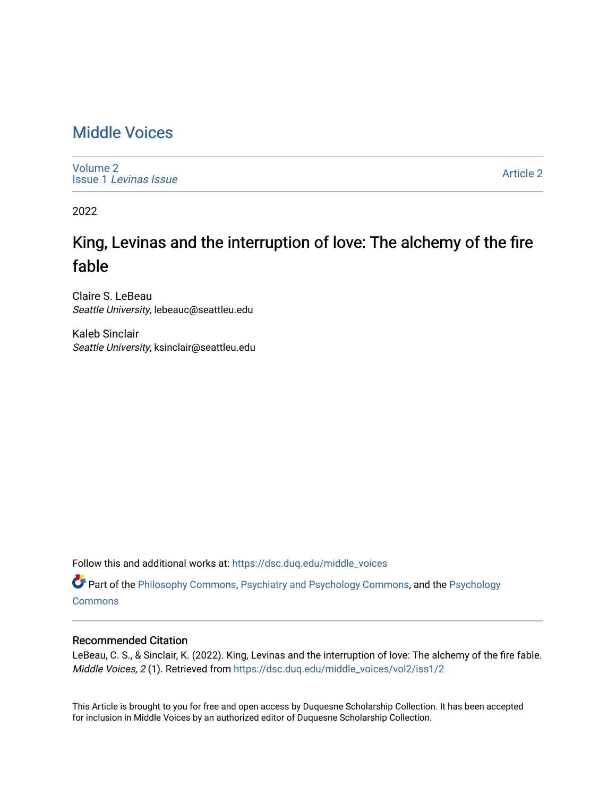## [Middle Voices](https://dsc.duq.edu/middle_voices)

[Volume 2](https://dsc.duq.edu/middle_voices/vol2) Issue 1 [Levinas Issue](https://dsc.duq.edu/middle_voices/vol2/iss1)

[Article 2](https://dsc.duq.edu/middle_voices/vol2/iss1/2) 

2022

# King, Levinas and the interruption of love: The alchemy of the fire fable

Claire S. LeBeau Seattle University, lebeauc@seattleu.edu

Kaleb Sinclair Seattle University, ksinclair@seattleu.edu

Follow this and additional works at: [https://dsc.duq.edu/middle\\_voices](https://dsc.duq.edu/middle_voices?utm_source=dsc.duq.edu%2Fmiddle_voices%2Fvol2%2Fiss1%2F2&utm_medium=PDF&utm_campaign=PDFCoverPages)

Part of the [Philosophy Commons,](http://network.bepress.com/hgg/discipline/525?utm_source=dsc.duq.edu%2Fmiddle_voices%2Fvol2%2Fiss1%2F2&utm_medium=PDF&utm_campaign=PDFCoverPages) [Psychiatry and Psychology Commons,](http://network.bepress.com/hgg/discipline/908?utm_source=dsc.duq.edu%2Fmiddle_voices%2Fvol2%2Fiss1%2F2&utm_medium=PDF&utm_campaign=PDFCoverPages) and the [Psychology](http://network.bepress.com/hgg/discipline/404?utm_source=dsc.duq.edu%2Fmiddle_voices%2Fvol2%2Fiss1%2F2&utm_medium=PDF&utm_campaign=PDFCoverPages)  **[Commons](http://network.bepress.com/hgg/discipline/404?utm_source=dsc.duq.edu%2Fmiddle_voices%2Fvol2%2Fiss1%2F2&utm_medium=PDF&utm_campaign=PDFCoverPages)** 

#### Recommended Citation

LeBeau, C. S., & Sinclair, K. (2022). King, Levinas and the interruption of love: The alchemy of the fire fable. Middle Voices, 2 (1). Retrieved from [https://dsc.duq.edu/middle\\_voices/vol2/iss1/2](https://dsc.duq.edu/middle_voices/vol2/iss1/2?utm_source=dsc.duq.edu%2Fmiddle_voices%2Fvol2%2Fiss1%2F2&utm_medium=PDF&utm_campaign=PDFCoverPages) 

This Article is brought to you for free and open access by Duquesne Scholarship Collection. It has been accepted for inclusion in Middle Voices by an authorized editor of Duquesne Scholarship Collection.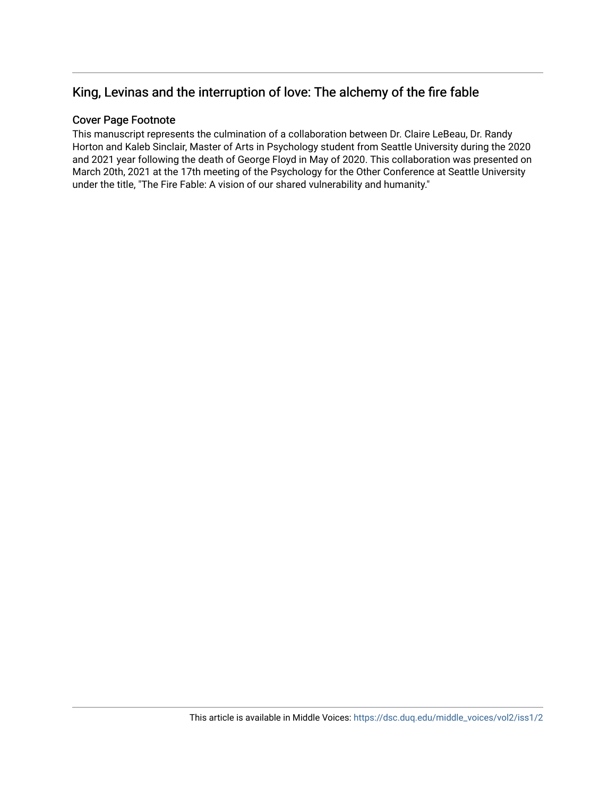### King, Levinas and the interruption of love: The alchemy of the fire fable

#### Cover Page Footnote

This manuscript represents the culmination of a collaboration between Dr. Claire LeBeau, Dr. Randy Horton and Kaleb Sinclair, Master of Arts in Psychology student from Seattle University during the 2020 and 2021 year following the death of George Floyd in May of 2020. This collaboration was presented on March 20th, 2021 at the 17th meeting of the Psychology for the Other Conference at Seattle University under the title, "The Fire Fable: A vision of our shared vulnerability and humanity."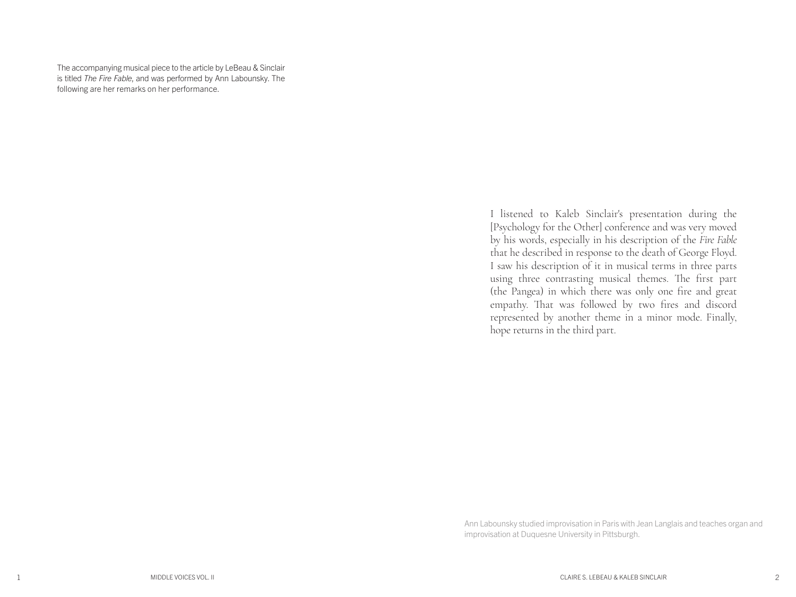The accompanying musical piece to the article by LeBeau & Sinclair is titled *The Fire Fable*, and was performed by Ann Labounsky. The following are her remarks on her performance.

> I listened to Kaleb Sinclair's presentation during the [Psychology for the Other] conference and was very moved by his words, especially in his description of the *Fire Fable* that he described in response to the death of George Floyd. I saw his description of it in musical terms in three parts using three contrasting musical themes. The first part (the Pangea) in which there was only one fire and great empathy. That was followed by two fires and discord represented by another theme in a minor mode. Finally, hope returns in the third part.

Ann Labounsky studied improvisation in Paris with Jean Langlais and teaches organ and improvisation at Duquesne University in Pittsburgh.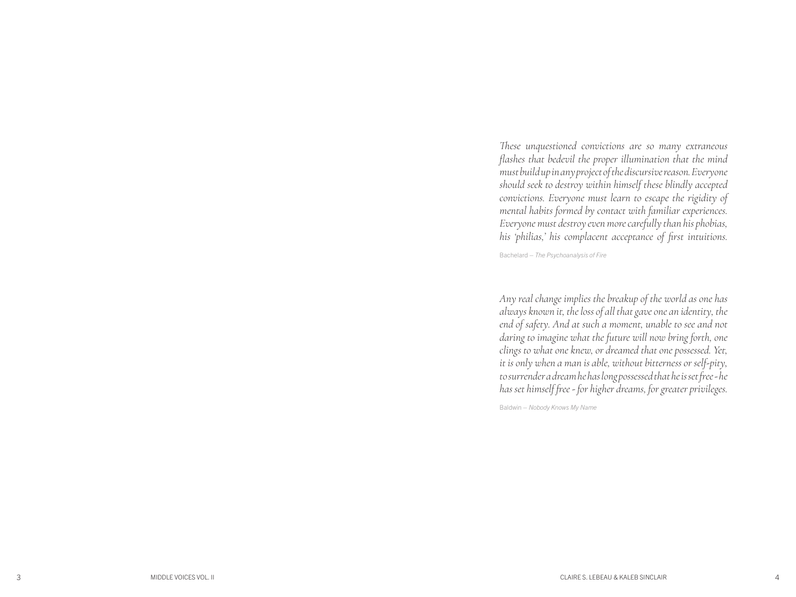*These unquestioned convictions are so many extraneous flashes that bedevil the proper illumination that the mind must build up in any project of the discursive reason. Everyone should seek to destroy within himself these blindly accepted convictions. Everyone must learn to escape the rigidity of mental habits formed by contact with familiar experiences. Everyone must destroy even more carefully than his phobias, his 'philias,' his complacent acceptance of first intuitions.*

Bachelard – *The Psychoanalysis of Fire*

*Any real change implies the breakup of the world as one has always known it, the loss of all that gave one an identity, the end of safety. And at such a moment, unable to see and not daring to imagine what the future will now bring forth, one clings to what one knew, or dreamed that one possessed. Yet, it is only when a man is able, without bitterness or self-pity, to surrender a dream he has long possessed that he is set free - he has set himself free - for higher dreams, for greater privileges.*

Baldwin – *Nobody Knows My Name*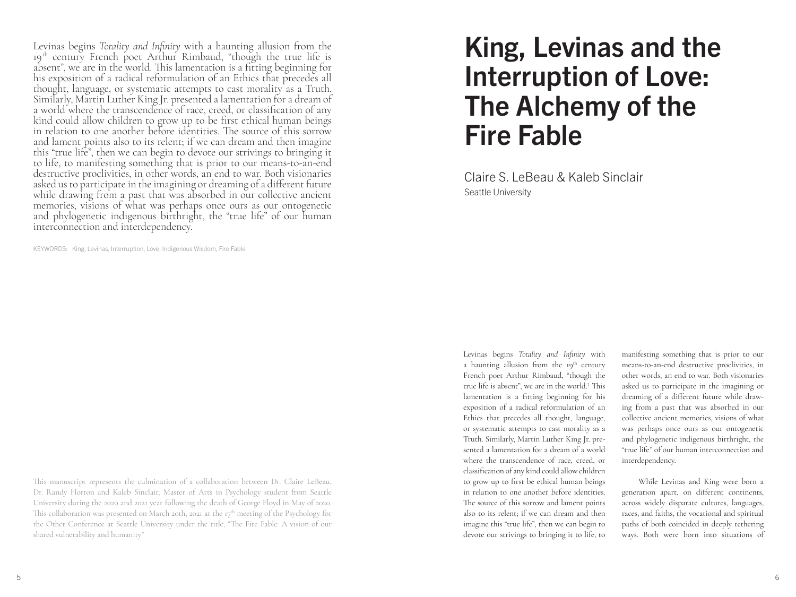Levinas begins *Totality and Infinity* with a haunting allusion from the 19th century French poet Arthur Rimbaud, "though the true life is absent", we are in the world. This lamentation is a fitting beginning for his exposition of a radical reformulation of an Ethics that precedes all thought, language, or systematic attempts to cast morality as a Truth. Similarly, Martin Luther King Jr. presented a lamentation for a dream of a world where the transcendence of race, creed, or classification of any kind could allow children to grow up to be first ethical human beings in relation to one another before identities. The source of this sorrow and lament points also to its relent; if we can dream and then imagine this "true life", then we can begin to devote our strivings to bringing it to life, to manifesting something that is prior to our means-to-an-end destructive proclivities, in other words, an end to war. Both visionaries asked us to participate in the imagining or dreaming of a different future while drawing from a past that was absorbed in our collective ancient memories, visions of what was perhaps once ours as our ontogenetic and phylogenetic indigenous birthright, the "true life" of our human interconnection and interdependency.

KEYWORDS: King, Levinas, Interruption, Love, Indigenous Wisdom, Fire Fable

This manuscript represents the culmination of a collaboration between Dr. Claire LeBeau, Dr. Randy Horton and Kaleb Sinclair, Master of Arts in Psychology student from Seattle University during the 2020 and 2021 year following the death of George Floyd in May of 2020. This collaboration was presented on March 20th, 2021 at the  $r\tau^{th}$  meeting of the Psychology for the Other Conference at Seattle University under the title, "The Fire Fable: A vision of our shared vulnerability and humanity"

# King, Levinas and the Interruption of Love: The Alchemy of the Fire Fable

Claire S. LeBeau & Kaleb Sinclair Seattle University

Levinas begins *Totality and Infinity* with a haunting allusion from the  $19<sup>th</sup>$  century French poet Arthur Rimbaud, "though the true life is absent", we are in the world.1 This lamentation is a fitting beginning for his exposition of a radical reformulation of an Ethics that precedes all thought, language, or systematic attempts to cast morality as a Truth. Similarly, Martin Luther King Jr. presented a lamentation for a dream of a world where the transcendence of race, creed, or classification of any kind could allow children to grow up to first be ethical human beings in relation to one another before identities. The source of this sorrow and lament points also to its relent; if we can dream and then imagine this "true life", then we can begin to devote our strivings to bringing it to life, to

manifesting something that is prior to our means-to-an-end destructive proclivities, in other words, an end to war. Both visionaries asked us to participate in the imagining or dreaming of a different future while drawing from a past that was absorbed in our collective ancient memories, visions of what was perhaps once ours as our ontogenetic and phylogenetic indigenous birthright, the "true life" of our human interconnection and interdependency.

While Levinas and King were born a generation apart, on different continents, across widely disparate cultures, languages, races, and faiths, the vocational and spiritual paths of both coincided in deeply tethering ways. Both were born into situations of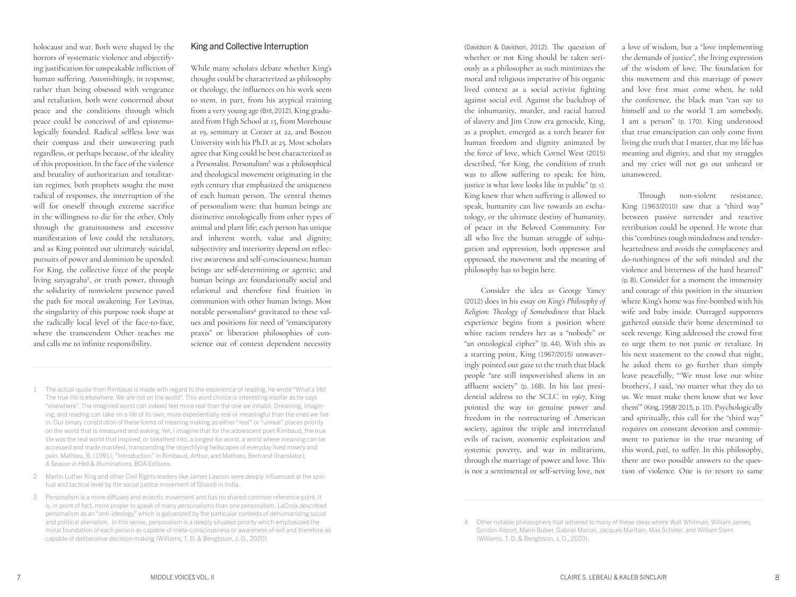#### holocaust and war. Both were shaped by the horrors of systematic violence and objectifying justification for unspeakable infliction of human suffering. Astonishingly, in response, rather than being obsessed with vengeance and retaliation, both were concerned about peace and the conditions through which peace could be conceived of and epistemologically founded. Radical selfless love was their compass and their unwavering path regardless, or perhaps because, of the ideality of this proposition. In the face of the violence and brutality of authoritarian and totalitarian regimes, both prophets sought the most radical of responses, the interruption of the will for oneself through extreme sacrifice in the willingness to die for the other. Only through the gratuitousness and excessive manifestation of love could the retaliatory, and as King pointed out ultimately suicidal, pursuits of power and dominion be upended. For King, the collective force of the people living satyagraha2, or truth power, through the solidarity of nonviolent presence paved the path for moral awakening. For Levinas, the singularity of this purpose took shape at the radically local level of the face-to-face, where the transcendent Other teaches me and calls me to infinite responsibility.

#### King and Collective Interruption

While many scholars debate whether King's thought could be characterized as philosophy or theology, the influences on his work seem to stem, in part, from his atypical training from a very young age (Brit, 2012). King graduated from High School at 15, from Morehouse at 19, seminary at Corzer at 22, and Boston University with his Ph.D. at 25. Most scholars agree that King could be best characterized as a Personalist. Personalism<sup>3</sup> was a philosophical and theological movement originating in the 19th century that emphasized the uniqueness of each human person. The central themes of personalism were: that human beings are distinctive ontologically from other types of animal and plant life; each person has unique and inherent worth, value and dignity; subjectivity and interiority depend on reflective awareness and self-consciousness; human beings are self-determining or agentic; and human beings are foundationally social and relational and therefore find fruition in communion with other human beings. Most notable personalists<sup>4</sup> gravitated to these values and positions for need of "emancipatory praxis" or liberation philosophies of conscience out of context dependent necessity

- 1 The actual quote from Rimbaud is made with regard to the experience of reading, he wrote "What a life! The true life is elsewhere. We are not on the world". This word choice is interesting insofar as he says "elsewhere". The imagined world can indeed feel more real than the one we inhabit. Dreaming, imagining, and reading can take on a life of its own, more experientially real or meaningful than the ones we live in. Our binary constitution of these forms of meaning making as either "real" or "unreal" places priority on the world that is measured and waking. Yet, I imagine that for the adolescent poet Rimbaud, the true life was the real world that inspired, or breathed into, a longed-for world, a world where meaning can be accessed and made manifest, transcending the objectifying hellscapes of everyday lived misery and pain. Mathieu, B. (1991), "Introduction" in Rimbaud, Arthur, and Mathieu, Bertrand (translator), *A Season in Hell & Illuminations*, BOA Editions.
- 2 Martin Luther King and other Civil Rights leaders like James Lawson were deeply influenced at the spiritual and tactical level by the social justice movement of Ghandi in India.
- 3 Personalism is a more diffused and eclectic movement and has no shared common reference point. It is, in point of fact, more proper to speak of many *personalisms* than one personalism. LaCroix described personalism as an "anti-ideology" which is galvanized by the particular contexts of dehumanizing social and political alienation. In this sense, personalism is a deeply situated priority which emphasized the moral foundation of each person as capable of meta-consciousness or awareness of self and therefore as capable of deliberative decision-making (Williams, T. D. & Bengtsson, J. O., 2020).

(Davidson & Davidson, 2012). The question of whether or not King should be taken seriously as a philosopher as such minimizes the moral and religious imperative of his organic lived context as a social activist fighting against social evil. Against the backdrop of the inhumanity, murder, and racial hatred of slavery and Jim Crow era genocide, King, as a prophet, emerged as a torch bearer for human freedom and dignity animated by the force of love, which Cornel West (2015) described, "for King, the condition of truth was to allow suffering to speak; for him, justice is what love looks like in public" (p. X). King knew that when suffering is allowed to speak, humanity can live towards an eschatology, or the ultimate destiny of humanity, of peace in the Beloved Community. For all who live the human struggle of subjugation and oppression, both oppressor and oppressed, the movement and the meaning of philosophy has to begin here.

Consider the idea as George Yancy (2012) does in his essay on *King's Philosophy of Religion: Theology of Somebodiness* that black experience begins from a position where white racism renders her as a "nobody" or "an ontological cipher" (p. 44). With this as a starting point, King (1967/2015) unwaveringly pointed our gaze to the truth that black people "are still impoverished aliens in an affluent society" (p. 168). In his last presidential address to the SCLC in 1967, King pointed the way to genuine power and freedom in the restructuring of American society, against the triple and interrelated evils of racism, economic exploitation and systemic poverty, and war in militarism, through the marriage of power and love. This is not a sentimental or self-serving love, not

a love of wisdom, but a "love implementing the demands of justice", the living expression of the wisdom of love. The foundation for this movement and this marriage of power and love first must come when, he told the conference, the black man "can say to himself and to the world 'I am somebody. I am a person" (p. 170). King understood that true emancipation can only come from living the truth that I matter, that my life has meaning and dignity, and that my struggles and my cries will not go out unheard or unanswered.

Through non-violent resistance, King (1963/2010) saw that a "third way" between passive surrender and reactive retribution could be opened. He wrote that this "combines tough mindedness and tenderheartedness and avoids the complacency and do-nothingness of the soft minded and the violence and bitterness of the hard hearted" (p. 8). Consider for a moment the immensity and courage of this position in the situation where King's home was fire-bombed with his wife and baby inside. Outraged supporters gathered outside their home determined to seek revenge. King addressed the crowd first to urge them to not panic or retaliate. In his next statement to the crowd that night, he asked them to go further than simply leave peacefully, "'We must love our white brothers', I said, 'no matter what they do to us. We must make them know that we love them'" (King, 1958/ 2015, p. 10). Psychologically and spiritually, this call for the "third way" requires on constant devotion and commitment to patience in the true meaning of this word, *pati*, to suffer. In this philosophy, there are two possible answers to the question of violence. One is to resort to same

<sup>4</sup> Other notable philosophers that adhered to many of these ideas where Walt Whitman, William James, Gordon Allport, Marin Buber, Gabriel Marcel, Jacques Maritain, Max Scheler, and William Stern (Williams, T. D. & Bengtsson, J. O., 2020).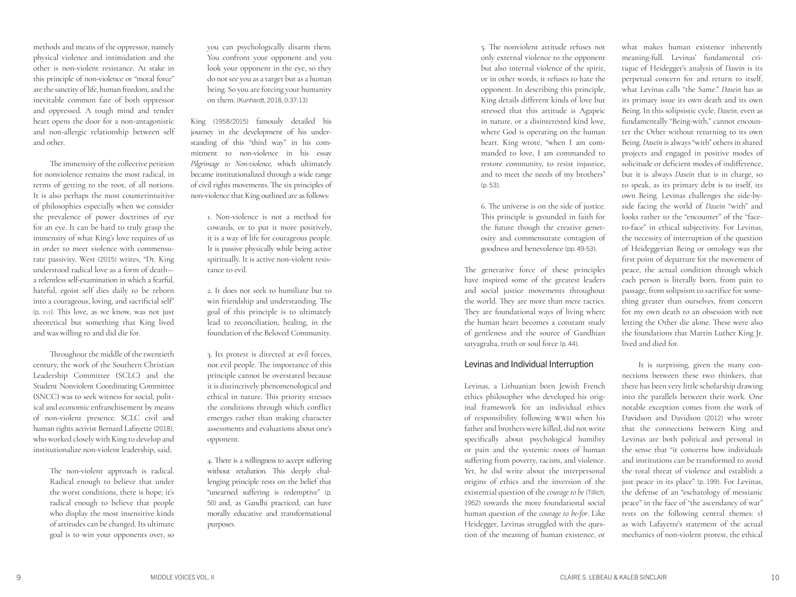methods and means of the oppressor, namely physical violence and intimidation and the other is non-violent resistance. At stake in this principle of non-violence or "moral force" are the sanctity of life, human freedom, and the inevitable common fate of both oppressor and oppressed. A tough mind and tender heart opens the door for a non-antagonistic and non-allergic relationship between self and other.

The immensity of the collective petition for nonviolence remains the most radical, in terms of getting to the root, of all notions. It is also perhaps the most counterintuitive of philosophies especially when we consider the prevalence of power doctrines of eye for an eye. It can be hard to truly grasp the immensity of what King's love requires of us in order to meet violence with commensu rate passivity. West (2015) writes, "Dr. King understood radical love as a form of death a relentless self-examination in which a fearful, hateful, egoist self dies daily to be reborn into a courageous, loving, and sacrificial self" (p. XVI ). This love, as we know, was not just theoretical but something that King lived and was willing to and did die for.

Throughout the middle of the twentieth century, the work of the Southern Christian Leadership Committee (SCLC) and the Student Nonviolent Coordinating Committee (SNCC) was to seek witness for social, polit ical and economic enfranchisement by means of non-violent presence. SCLC civil and human rights activist Bernard Lafayette (2018), who worked closely with King to develop and institutionalize non-violent leadership, said;

> The non-violent approach is radical. Radical enough to believe that under the worst conditions, there is hope; it's radical enough to believe that people who display the most insensitive kinds of attitudes can be changed. Its ultimate goal is to win your opponents over, so

you can psychologically disarm them. You confront your opponent and you look your opponent in the eye, so they do not see you as a target but as a human being. So you are forcing your humanity on them. (Kunhardt, 2018, 0:37:13)

King (1958/2015) famously detailed his journey in the development of his under standing of this "third way" in his com mitment to non-violence in his essay *Pilgrimage to Non-violence,* which ultimately became institutionalized through a wide range of civil rights movements. The six principles of non-violence that King outlined are as follows:

> 1. Non-violence is not a method for cowards, or to put it more positively, it is a way of life for courageous people. It is passive physically while being active spiritually. It is active non-violent resis tance to evil.

2. It does not seek to humiliate but to win friendship and understanding. The goal of this principle is to ultimately lead to reconciliation, healing, in the foundation of the Beloved Community.

3. Its protest is directed at evil forces, not evil people. The importance of this principle cannot be overstated because it is distinctively phenomenological and ethical in nature. This priority stresses the conditions through which conflict emerges rather than making character assessments and evaluations about one's opponent.

4. There is a willingness to accept suffering without retaliation. This deeply chal lenging principle rests on the belief that "unearned suffering is redemptive" (p. 50) and, as Gandhi practiced, can have morally educative and transformational purposes.

5. The nonviolent attitude refuses not only external violence to the opponent but also internal violence of the spirit, or in other words, it refuses to hate the opponent. In describing this principle, King details different kinds of love but stressed that this attitude is Agapeic in nature, or a disinterested kind love, where God is operating on the human heart. King wrote, "when I am com manded to love, I am commanded to restore community, to resist injustice, and to meet the needs of my brothers" (p. 53) .

6. The universe is on the side of justice. This principle is grounded in faith for the future though the creative gener osity and commensurate contagion of goodness and benevolence (pp. 49-53) .

The generative force of these principles have inspired some of the greatest leaders and social justice movements throughout the world. They are more than mere tactics. They are foundational ways of living where the human heart becomes a constant study of gentleness and the source of Gandhian satyagraha, truth or soul force (p. 44).

#### Levinas and Individual Interruption

Levinas, a Lithuanian born Jewish French ethics philosopher who developed his orig inal framework for an individual ethics of responsibility following WWII when his father and brothers were killed, did not write specifically about psychological humility or pain and the systemic roots of human suffering from poverty, racism, and violence. Yet, he did write about the interpersonal origins of ethics and the inversion of the existential question of the *courage to be* (Tillich, 1952) towards the more foundational social human question of the *courage to be-for*. Like Heidegger, Levinas struggled with the ques tion of the meaning of human existence, or

what makes human existence inherently meaning-full. Levinas' fundamental cri tique of Heidegger's analysis of *Dasein* is its perpetual concern for and return to itself, what Levinas calls "the Same." *Dasein* has as its primary issue its own death and its own Being. In this solipsistic cycle, *Dasein*, even as fundamentally "Being-with," cannot encoun ter the Other without returning to its own Being. *Dasein* is always "with" others in shared projects and engaged in positive modes of solicitude or deficient modes of indifference, but it is always *Dasein* that is in charge, so to speak, as its primary debt is to itself, its own Being. Levinas challenges the side-byside facing the world of *Dasein* "with" and looks rather to the "encounter" of the "faceto-face" in ethical subjectivity. For Levinas, the necessity of interruption of the question of Heideggerian Being or ontology was the first point of departure for the movement of peace, the actual condition through which each person is literally born, from pain to passage, from solipsism to sacrifice for some thing greater than ourselves, from concern for my own death to an obsession with not letting the Other die alone. These were also the foundations that Martin Luther King Jr. lived and died for.

It is surprising, given the many con nections between these two thinkers, that there has been very little scholarship drawing into the parallels between their work. One notable exception comes from the work of Davidson and Davidson (2012) who wrote that the connections between King and Levinas are both political and personal in the sense that "it concerns how individuals and institutions can be transformed to avoid the total threat of violence and establish a just peace in its place" (p. 199). For Levinas, the defense of an "eschatology of messianic peace" in the face of "the ascendancy of war" rests on the following central themes: 1) as with Lafayette's statement of the actual mechanics of non-violent protest, the ethical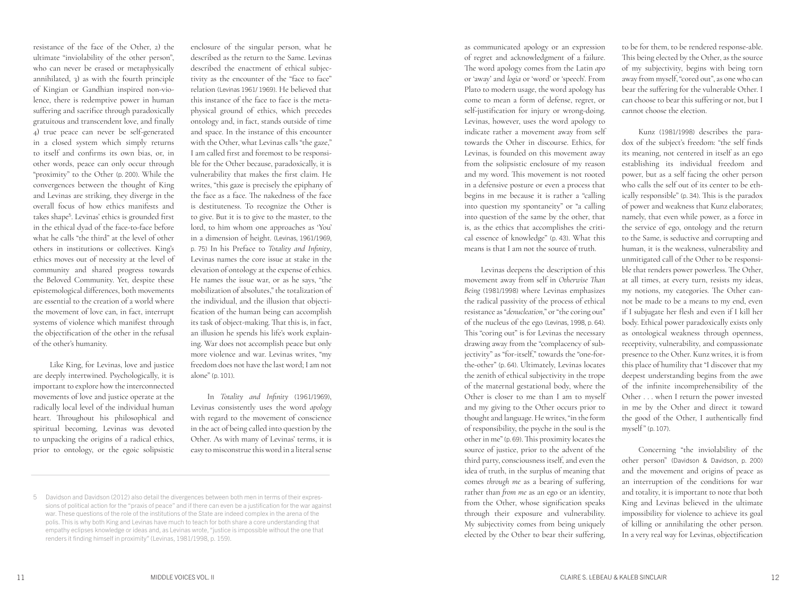resistance of the face of the Other, 2) the ultimate "inviolability of the other person", who can never be erased or metaphysically annihilated, 3) as with the fourth principle of Kingian or Gandhian inspired non-vio lence, there is redemptive power in human suffering and sacrifice through paradoxically gratuitous and transcendent love, and finally 4) true peace can never be self-generated in a closed system which simply returns to itself and confirms its own bias, or, in other words, peace can only occur through "proximity" to the Other (p. 200). While the convergences between the thought of King and Levinas are striking, they diverge in the overall focus of how ethics manifests and takes shape <sup>5</sup>. Levinas' ethics is grounded first in the ethical dyad of the face-to-face before what he calls "the third" at the level of other others in institutions or collectives. King's ethics moves out of necessity at the level of community and shared progress towards the Beloved Community. Yet, despite these epistemological differences, both movements are essential to the creation of a world where the movement of love can, in fact, interrupt systems of violence which manifest through the objectification of the other in the refusal of the other's humanity.

Like King, for Levinas, love and justice are deeply intertwined. Psychologically, it is important to explore how the interconnected movements of love and justice operate at the radically local level of the individual human heart. Throughout his philosophical and spiritual becoming, Levinas was devoted to unpacking the origins of a radical ethics, prior to ontology, or the egoic solipsistic

enclosure of the singular person, what he described as the return to the Same. Levinas described the enactment of ethical subjec tivity as the encounter of the "face to face" relation (Levinas 1961/ 1969). He believed that this instance of the face to face is the meta physical ground of ethics, which precedes ontology and, in fact, stands outside of time and space. In the instance of this encounter with the Other, what Levinas calls "the gaze," I am called first and foremost to be responsi ble for the Other because, paradoxically, it is vulnerability that makes the first claim. He writes, "this gaze is precisely the epiphany of the face as a face. The nakedness of the face is destituteness. To recognize the Other is to give. But it is to give to the master, to the lord, to him whom one approaches as 'You' in a dimension of height. (Levinas, 1961/1969, p. 75) In his Preface to *Totality and Infinity*, Levinas names the core issue at stake in the elevation of ontology at the expense of ethics. He names the issue war, or as he says, "the mobilization of absolutes," the totalization of the individual, and the illusion that objecti fication of the human being can accomplish its task of object-making. That this is, in fact, an illusion he spends his life's work explain ing. War does not accomplish peace but only more violence and war. Levinas writes, "my freedom does not have the last word; I am not alone" (p. 101).

In *Totality and Infinity* (1961/1969), Levinas consistently uses the word *apology* with regard to the movement of conscience in the act of being called into question by the Other. As with many of Levinas' terms, it is easy to misconstrue this word in a literal sense

as communicated apology or an expression of regret and acknowledgment of a failure. The word apology comes from the Latin *apo* or 'away' and *logia* or 'word' or 'speech'. From Plato to modern usage, the word apology has come to mean a form of defense, regret, or self-justification for injury or wrong-doing. Levinas, however, uses the word apology to indicate rather a movement away from self towards the Other in discourse. Ethics, for Levinas, is founded on this movement away from the solipsistic enclosure of my reason and my word. This movement is not rooted in a defensive posture or even a process that begins in me because it is rather a "calling into question my spontaneity" or "a calling into question of the same by the other, that is, as the ethics that accomplishes the criti cal essence of knowledge" (p. 43). What this means is that I am not the source of truth.

Levinas deepens the description of this movement away from self in *Otherwise Than Being* (1981/1998) where Levinas emphasizes the radical passivity of the process of ethical resistance as "*denucleation*," or "the coring out" of the nucleus of the ego (Levinas, 1998, p. 64). This "coring out" is for Levinas the necessary drawing away from the "complacency of sub jectivity" as "for-itself," towards the "one-forthe-other" (p. 64). Ultimately, Levinas locates the zenith of ethical subjectivity in the trope of the maternal gestational body, where the Other is closer to me than I am to myself and my giving to the Other occurs prior to thought and language. He writes, "in the form of responsibility, the psyche in the soul is the other in me" (p. 69). This proximity locates the source of justice, prior to the advent of the third party, consciousness itself, and even the idea of truth, in the surplus of meaning that comes *through me* as a bearing of suffering, rather than *from me* as an ego or an identity, from the Other, whose signification speaks through their exposure and vulnerability. My subjectivity comes from being uniquely elected by the Other to bear their suffering,

to be for them, to be rendered response-able. This being elected by the Other, as the source of my subjectivity, begins with being torn away from myself, "cored out", as one who can bear the suffering for the vulnerable Other. I can choose to bear this suffering or not, but I cannot choose the election.

Kunz (1981/1998) describes the para dox of the subject's freedom: "the self finds its meaning, not centered in itself as an ego establishing its individual freedom and power, but as a self facing the other person who calls the self out of its center to be eth ically responsible" (p. 34). This is the paradox of power and weakness that Kunz elaborates; namely, that even while power, as a force in the service of ego, ontology and the return to the Same, is seductive and corrupting and human, it is the weakness, vulnerability and unmitigated call of the Other to be responsi ble that renders power powerless. The Other, at all times, at every turn, resists my ideas, my notions, my categories. The Other can not be made to be a means to my end, even if I subjugate her flesh and even if I kill her body. Ethical power paradoxically exists only as ontological weakness through openness, receptivity, vulnerability, and compassionate presence to the Other. Kunz writes, it is from this place of humility that "I discover that my deepest understanding begins from the awe of the infinite incomprehensibility of the Other . . . when I return the power invested in me by the Other and direct it toward the good of the Other, I authentically find myself " (p. 107) .

Concerning "the inviolability of the other person" (Davidson & Davidson, p. 200) and the movement and origins of peace as an interruption of the conditions for war and totality, it is important to note that both King and Levinas believed in the ultimate impossibility for violence to achieve its goal of killing or annihilating the other person. In a very real way for Levinas, objectification

<sup>5</sup> Davidson and Davidson (2012) also detail the divergences between both men in terms of their expres sions of political action for the "praxis of peace" and if there can even be a justification for the war against war. These questions of the role of the institutions of the State are indeed complex in the arena of the polis. This is why both King and Levinas have much to teach for both share a core understanding that empathy eclipses knowledge or ideas and, as Levinas wrote, "justice is impossible without the one that renders it finding himself in proximity" (Levinas, 1981/1998, p. 159).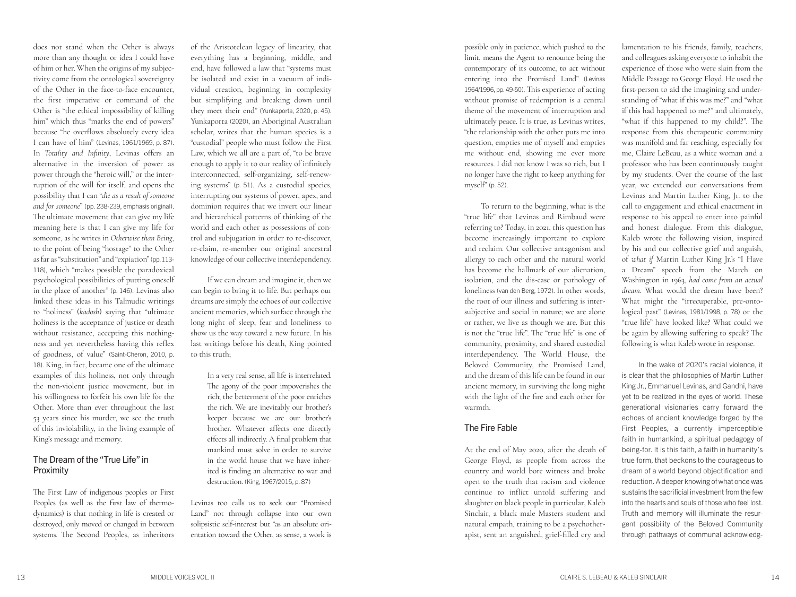does not stand when the Other is always more than any thought or idea I could have of him or her. When the origins of my subjec tivity come from the ontological sovereignty of the Other in the face-to-face encounter, the first imperative or command of the Other is "the ethical impossibility of killing him" which thus "marks the end of powers" because "he overflows absolutely every idea I can have of him" (Levinas, 1961/1969, p. 87). In *Totality and Infinity*, Levinas offers an alternative in the inversion of power as power through the "heroic will," or the inter ruption of the will for itself, and opens the possibility that I can "*die as a result of someone and for someone*" (pp. 238-239, emphasis original). The ultimate movement that can give my life meaning here is that I can give my life for someone, as he writes in *Otherwise than Being*, to the point of being "hostage" to the Other as far as "substitution" and "expiation" (pp. 113- 118), which "makes possible the paradoxical psychological possibilities of putting oneself in the place of another" (p. 146). Levinas also linked these ideas in his Talmudic writings to "holiness" (*kadosh*) saying that "ultimate holiness is the acceptance of justice or death without resistance, accepting this nothing ness and yet nevertheless having this reflex of goodness, of value" (Saint-Cheron, 2010, p. 18). King, in fact, became one of the ultimate examples of this holiness, not only through the non-violent justice movement, but in his willingness to forfeit his own life for the Other. More than ever throughout the last 53 years since his murder, we see the truth of this inviolability, in the living example of King's message and memory.

#### The Dream of the "True Life" in Proximity

The First Law of indigenous peoples or First Peoples (as well as the first law of thermo dynamics) is that nothing in life is created or destroyed, only moved or changed in between systems. The Second Peoples, as inheritors of the Aristotelean legacy of linearity, that everything has a beginning, middle, and end, have followed a law that "systems must be isolated and exist in a vacuum of indi vidual creation, beginning in complexity but simplifying and breaking down until they meet their end" (Yunkaporta, 2020, p. 45). Yunkaporta (2020), an Aboriginal Australian scholar, writes that the human species is a "custodial" people who must follow the First Law, which we all are a part of, "to be brave enough to apply it to our reality of infinitely interconnected, self-organizing, self-renew ing systems" (p. 51). As a custodial species, interrupting our systems of power, apex, and dominion requires that we invert our linear and hierarchical patterns of thinking of the world and each other as possessions of con trol and subjugation in order to re-discover, re-claim, re-member our original ancestral knowledge of our collective interdependency.

If we can dream and imagine it, then we can begin to bring it to life. But perhaps our dreams are simply the echoes of our collective ancient memories, which surface through the long night of sleep, fear and loneliness to show us the way toward a new future. In his last writings before his death, King pointed to this truth;

In a very real sense, all life is interrelated. The agony of the poor impoverishes the rich; the betterment of the poor enriches the rich. We are inevitably our brother's keeper because we are our brother's brother. Whatever affects one directly effects all indirectly. A final problem that mankind must solve in order to survive in the world house that we have inher ited is finding an alternative to war and destruction. (King, 1967/2015, p. 87)

Levinas too calls us to seek our "Promised Land" not through collapse into our own solipsistic self-interest but "as an absolute ori entation toward the Other, as sense, a work is

possible only in patience, which pushed to the limit, means the Agent to renounce being the contemporary of its outcome, to act without entering into the Promised Land" (Levinas 1964/1996, pp. 49-50). This experience of acting without promise of redemption is a central theme of the movement of interruption and ultimately peace. It is true, as Levinas writes, "the relationship with the other puts me into question, empties me of myself and empties me without end, showing me ever more resources. I did not know I was so rich, but I no longer have the right to keep anything for myself" (p. 52) .

To return to the beginning, what is the "true life" that Levinas and Rimbaud were referring to? Today, in 2021, this question has become increasingly important to explore and reclaim. Our collective antagonism and allergy to each other and the natural world has become the hallmark of our alienation, isolation, and the dis-ease or pathology of loneliness (van den Berg, 1972). In other words, the root of our illness and suffering is inter subjective and social in nature; we are alone or rather, we live as though we are. But this is not the "true life". The "true life" is one of community, proximity, and shared custodial interdependency. The World House, the Beloved Community, the Promised Land, and the dream of this life can be found in our ancient memory, in surviving the long night with the light of the fire and each other for warmth.

#### The Fire Fable

At the end of May 2020, after the death of George Floyd, as people from across the country and world bore witness and broke open to the truth that racism and violence continue to inflict untold suffering and slaughter on black people in particular, Kaleb Sinclair, a black male Masters student and natural empath, training to be a psychother apist, sent an anguished, grief-filled cry and

lamentation to his friends, family, teachers, and colleagues asking everyone to inhabit the experience of those who were slain from the Middle Passage to George Floyd. He used the first-person to aid the imagining and under standing of "what if this was me?" and "what if this had happened to me?" and ultimately, "what if this happened to my child?". The response from this therapeutic community was manifold and far reaching, especially for me, Claire LeBeau, as a white woman and a professor who has been continuously taught by my students. Over the course of the last year, we extended our conversations from Levinas and Martin Luther King, Jr. to the call to engagement and ethical enactment in response to his appeal to enter into painful and honest dialogue. From this dialogue, Kaleb wrote the following vision, inspired by his and our collective grief and anguish, of *what if* Martin Luther King Jr.'s "I Have a Dream" speech from the March on Washington in 1963, *had come from an actual dream*. What would the dream have been? What might the "irrecuperable, pre-onto logical past" (Levinas, 1981/1998, p. 78) or the "true life" have looked like? What could we be again by allowing suffering to speak? The following is what Kaleb wrote in response.

In the wake of 2020's racial violence, it is clear that the philosophies of Martin Luther King Jr., Emmanuel Levinas, and Gandhi, have yet to be realized in the eyes of world. These generational visionaries carry forward the echoes of ancient knowledge forged by the First Peoples, a currently imperceptible faith in humankind, a spiritual pedagogy of being-for. It is this faith, a faith in humanity's true form, that beckons to the courageous to dream of a world beyond objectification and reduction. A deeper knowing of what once was sustains the sacrificial investment from the few into the hearts and souls of those who feel lost. Truth and memory will illuminate the resur gent possibility of the Beloved Community through pathways of communal acknowledg -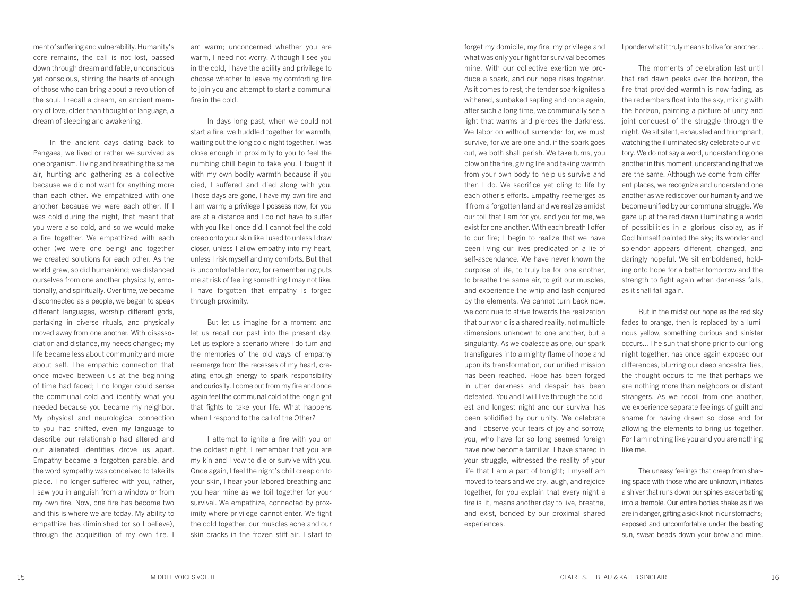ment of suffering and vulnerability. Humanity's core remains, the call is not lost, passed down through dream and fable, unconscious yet conscious, stirring the hearts of enough of those who can bring about a revolution of the soul. I recall a dream, an ancient memory of love, older than thought or language, a dream of sleeping and awakening.

In the ancient days dating back to Pangaea, we lived or rather we survived as one organism. Living and breathing the same air, hunting and gathering as a collective because we did not want for anything more than each other. We empathized with one another because we were each other. If I was cold during the night, that meant that you were also cold, and so we would make a fire together. We empathized with each other (we were one being) and together we created solutions for each other. As the world grew, so did humankind; we distanced ourselves from one another physically, emotionally, and spiritually. Over time, we became disconnected as a people, we began to speak different languages, worship different gods, partaking in diverse rituals, and physically moved away from one another. With disassociation and distance, my needs changed; my life became less about community and more about self. The empathic connection that once moved between us at the beginning of time had faded; I no longer could sense the communal cold and identify what you needed because you became my neighbor. My physical and neurological connection to you had shifted, even my language to describe our relationship had altered and our alienated identities drove us apart. Empathy became a forgotten parable, and the word sympathy was conceived to take its place. I no longer suffered with you, rather, I saw you in anguish from a window or from my own fire. Now, one fire has become two and this is where we are today. My ability to empathize has diminished (or so I believe), through the acquisition of my own fire. I am warm; unconcerned whether you are warm, I need not worry. Although I see you in the cold, I have the ability and privilege to choose whether to leave my comforting fire to join you and attempt to start a communal fire in the cold.

In days long past, when we could not start a fire, we huddled together for warmth, waiting out the long cold night together. I was close enough in proximity to you to feel the numbing chill begin to take you. I fought it with my own bodily warmth because if you died, I suffered and died along with you. Those days are gone, I have my own fire and I am warm; a privilege I possess now, for you are at a distance and I do not have to suffer with you like I once did. I cannot feel the cold creep onto your skin like I used to unless I draw closer, unless I allow empathy into my heart, unless I risk myself and my comforts. But that is uncomfortable now, for remembering puts me at risk of feeling something I may not like. I have forgotten that empathy is forged through proximity.

But let us imagine for a moment and let us recall our past into the present day. Let us explore a scenario where I do turn and the memories of the old ways of empathy reemerge from the recesses of my heart, creating enough energy to spark responsibility and curiosity. I come out from my fire and once again feel the communal cold of the long night that fights to take your life. What happens when I respond to the call of the Other?

I attempt to ignite a fire with you on the coldest night, I remember that you are my kin and I vow to die or survive with you. Once again, I feel the night's chill creep on to your skin, I hear your labored breathing and you hear mine as we toil together for your survival. We empathize, connected by proximity where privilege cannot enter. We fight the cold together, our muscles ache and our skin cracks in the frozen stiff air. I start to

forget my domicile, my fire, my privilege and what was only your fight for survival becomes mine. With our collective exertion we produce a spark, and our hope rises together. As it comes to rest, the tender spark ignites a withered, sunbaked sapling and once again, after such a long time, we communally see a light that warms and pierces the darkness. We labor on without surrender for, we must survive, for we are one and, if the spark goes out, we both shall perish. We take turns, you blow on the fire, giving life and taking warmth from your own body to help us survive and then I do. We sacrifice yet cling to life by each other's efforts. Empathy reemerges as if from a forgotten land and we realize amidst our toil that I am for you and you for me, we exist for one another. With each breath I offer to our fire; I begin to realize that we have been living our lives predicated on a lie of self-ascendance. We have never known the purpose of life, to truly be for one another, to breathe the same air, to grit our muscles, and experience the whip and lash conjured by the elements. We cannot turn back now, we continue to strive towards the realization that our world is a shared reality, not multiple dimensions unknown to one another, but a singularity. As we coalesce as one, our spark transfigures into a mighty flame of hope and upon its transformation, our unified mission has been reached. Hope has been forged in utter darkness and despair has been defeated. You and I will live through the coldest and longest night and our survival has been solidified by our unity. We celebrate and I observe your tears of joy and sorrow; you, who have for so long seemed foreign have now become familiar. I have shared in your struggle, witnessed the reality of your life that I am a part of tonight; I myself am moved to tears and we cry, laugh, and rejoice together, for you explain that every night a fire is lit, means another day to live, breathe, and exist, bonded by our proximal shared experiences.

I ponder what it truly means to live for another...

The moments of celebration last until that red dawn peeks over the horizon, the fire that provided warmth is now fading, as the red embers float into the sky, mixing with the horizon, painting a picture of unity and joint conquest of the struggle through the night. We sit silent, exhausted and triumphant, watching the illuminated sky celebrate our victory. We do not say a word, understanding one another in this moment, understanding that we are the same. Although we come from different places, we recognize and understand one another as we rediscover our humanity and we become unified by our communal struggle. We gaze up at the red dawn illuminating a world of possibilities in a glorious display, as if God himself painted the sky; its wonder and splendor appears different, changed, and daringly hopeful. We sit emboldened, holding onto hope for a better tomorrow and the strength to fight again when darkness falls, as it shall fall again.

But in the midst our hope as the red sky fades to orange, then is replaced by a luminous yellow, something curious and sinister occurs... The sun that shone prior to our long night together, has once again exposed our differences, blurring our deep ancestral ties, the thought occurs to me that perhaps we are nothing more than neighbors or distant strangers. As we recoil from one another, we experience separate feelings of guilt and shame for having drawn so close and for allowing the elements to bring us together. For I am nothing like you and you are nothing like me.

The uneasy feelings that creep from sharing space with those who are unknown, initiates a shiver that runs down our spines exacerbating into a tremble. Our entire bodies shake as if we are in danger, gifting a sick knot in our stomachs; exposed and uncomfortable under the beating sun, sweat beads down your brow and mine.